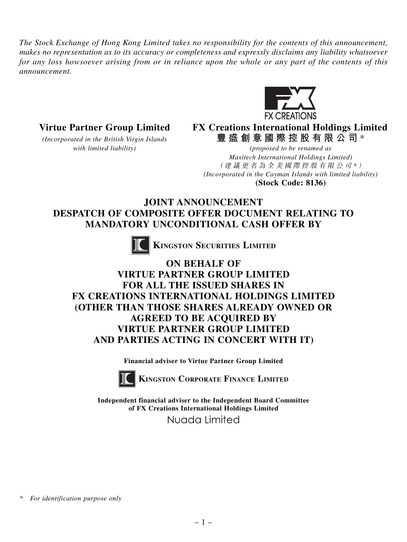*The Stock Exchange of Hong Kong Limited takes no responsibility for the contents of this announcement, makes no representation as to its accuracy or completeness and expressly disclaims any liability whatsoever for any loss howsoever arising from or in reliance upon the whole or any part of the contents of this announcement.*



**Virtue Partner Group Limited FX Creations International Holdings Limited** *(Incorporated in the British Virgin Islands* **豐盛創意國際控股有限公司** \*

*with limited liability) (proposed to be renamed as Maxitech International Holdings Limited)* (建議更名為全美國際控股有限公司 *\** ) *(Incorporated in the Cayman Islands with limited liability)* **(Stock Code: 8136)**

## **JOINT ANNOUNCEMENT DESPATCH OF COMPOSITE OFFER DOCUMENT RELATING TO MANDATORY UNCONDITIONAL CASH OFFER BY**



 **KINGSTON SECURITIES LIMITED**

# **ON BEHALF OF VIRTUE PARTNER GROUP LIMITED FOR ALL THE ISSUED SHARES IN FX CREATIONS INTERNATIONAL HOLDINGS LIMITED (OTHER THAN THOSE SHARES ALREADY OWNED OR AGREED TO BE ACQUIRED BY VIRTUE PARTNER GROUP LIMITED AND PARTIES ACTING IN CONCERT WITH IT)**

**Financial adviser to Virtue Partner Group Limited**



**KINGSTON CORPORATE FINANCE LIMITED**

**Independent financial adviser to the Independent Board Committee of FX Creations International Holdings Limited**

Nuada Limited

*\* For identification purpose only*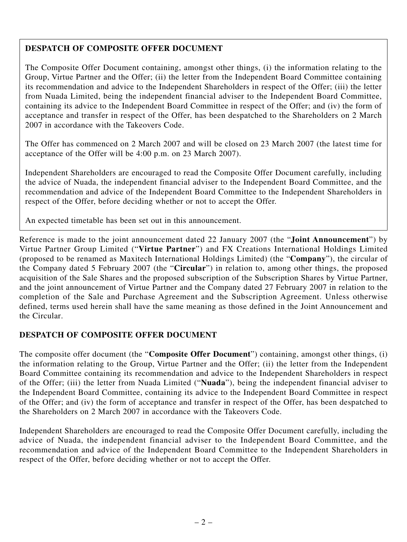### **DESPATCH OF COMPOSITE OFFER DOCUMENT**

The Composite Offer Document containing, amongst other things, (i) the information relating to the Group, Virtue Partner and the Offer; (ii) the letter from the Independent Board Committee containing its recommendation and advice to the Independent Shareholders in respect of the Offer; (iii) the letter from Nuada Limited, being the independent financial adviser to the Independent Board Committee, containing its advice to the Independent Board Committee in respect of the Offer; and (iv) the form of acceptance and transfer in respect of the Offer, has been despatched to the Shareholders on 2 March 2007 in accordance with the Takeovers Code.

The Offer has commenced on 2 March 2007 and will be closed on 23 March 2007 (the latest time for acceptance of the Offer will be 4:00 p.m. on 23 March 2007).

Independent Shareholders are encouraged to read the Composite Offer Document carefully, including the advice of Nuada, the independent financial adviser to the Independent Board Committee, and the recommendation and advice of the Independent Board Committee to the Independent Shareholders in respect of the Offer, before deciding whether or not to accept the Offer.

An expected timetable has been set out in this announcement.

Reference is made to the joint announcement dated 22 January 2007 (the "**Joint Announcement**") by Virtue Partner Group Limited ("**Virtue Partner**") and FX Creations International Holdings Limited (proposed to be renamed as Maxitech International Holdings Limited) (the "**Company**"), the circular of the Company dated 5 February 2007 (the "**Circular**") in relation to, among other things, the proposed acquisition of the Sale Shares and the proposed subscription of the Subscription Shares by Virtue Partner, and the joint announcement of Virtue Partner and the Company dated 27 February 2007 in relation to the completion of the Sale and Purchase Agreement and the Subscription Agreement. Unless otherwise defined, terms used herein shall have the same meaning as those defined in the Joint Announcement and the Circular.

#### **DESPATCH OF COMPOSITE OFFER DOCUMENT**

The composite offer document (the "**Composite Offer Document**") containing, amongst other things, (i) the information relating to the Group, Virtue Partner and the Offer; (ii) the letter from the Independent Board Committee containing its recommendation and advice to the Independent Shareholders in respect of the Offer; (iii) the letter from Nuada Limited ("**Nuada**"), being the independent financial adviser to the Independent Board Committee, containing its advice to the Independent Board Committee in respect of the Offer; and (iv) the form of acceptance and transfer in respect of the Offer, has been despatched to the Shareholders on 2 March 2007 in accordance with the Takeovers Code.

Independent Shareholders are encouraged to read the Composite Offer Document carefully, including the advice of Nuada, the independent financial adviser to the Independent Board Committee, and the recommendation and advice of the Independent Board Committee to the Independent Shareholders in respect of the Offer, before deciding whether or not to accept the Offer.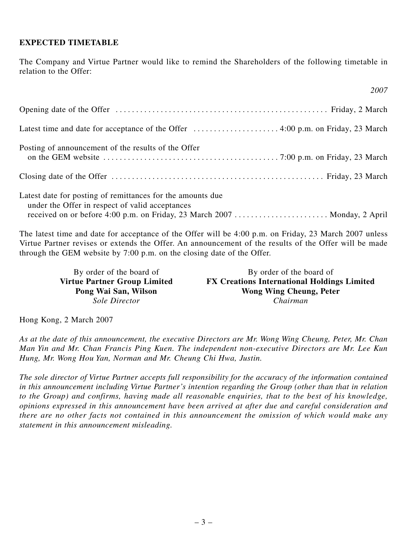#### **EXPECTED TIMETABLE**

The Company and Virtue Partner would like to remind the Shareholders of the following timetable in relation to the Offer:

*2007*

| Posting of announcement of the results of the Offer                                                           |
|---------------------------------------------------------------------------------------------------------------|
|                                                                                                               |
| Latest date for posting of remittances for the amounts due<br>under the Offer in respect of valid acceptances |

The latest time and date for acceptance of the Offer will be 4:00 p.m. on Friday, 23 March 2007 unless Virtue Partner revises or extends the Offer. An announcement of the results of the Offer will be made through the GEM website by 7:00 p.m. on the closing date of the Offer.

By order of the board of<br> **By order of the board of<br>
Virtue Partner Group Limited**<br> **FX Creations International Holdin FX Creations International Holdings Limited** Pong Wai San, Wilson Wong Wing Cheung, Peter *Sole Director Chairman*

Hong Kong, 2 March 2007

*As at the date of this announcement, the executive Directors are Mr. Wong Wing Cheung, Peter, Mr. Chan Man Yin and Mr. Chan Francis Ping Kuen. The independent non-executive Directors are Mr. Lee Kun Hung, Mr. Wong Hou Yan, Norman and Mr. Cheung Chi Hwa, Justin.*

*The sole director of Virtue Partner accepts full responsibility for the accuracy of the information contained in this announcement including Virtue Partner's intention regarding the Group (other than that in relation to the Group) and confirms, having made all reasonable enquiries, that to the best of his knowledge, opinions expressed in this announcement have been arrived at after due and careful consideration and there are no other facts not contained in this announcement the omission of which would make any statement in this announcement misleading.*